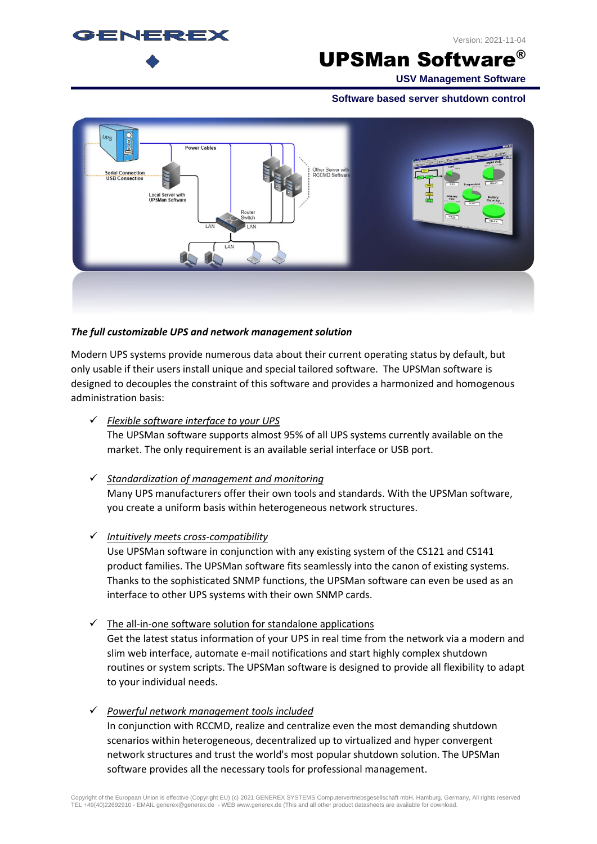

UPSMan Software®

**USV Management Software**

**Software based server shutdown control**



#### *The full customizable UPS and network management solution*

Modern UPS systems provide numerous data about their current operating status by default, but only usable if their users install unique and special tailored software. The UPSMan software is designed to decouples the constraint of this software and provides a harmonized and homogenous administration basis:

- ✓ *Flexible software interface to your UPS* The UPSMan software supports almost 95% of all UPS systems currently available on the market. The only requirement is an available serial interface or USB port.
- ✓ *Standardization of management and monitoring* Many UPS manufacturers offer their own tools and standards. With the UPSMan software, you create a uniform basis within heterogeneous network structures.
- ✓ *Intuitively meets cross-compatibility*

Use UPSMan software in conjunction with any existing system of the CS121 and CS141 product families. The UPSMan software fits seamlessly into the canon of existing systems. Thanks to the sophisticated SNMP functions, the UPSMan software can even be used as an interface to other UPS systems with their own SNMP cards.

- $\checkmark$  The all-in-one software solution for standalone applications Get the latest status information of your UPS in real time from the network via a modern and slim web interface, automate e-mail notifications and start highly complex shutdown routines or system scripts. The UPSMan software is designed to provide all flexibility to adapt to your individual needs.
- ✓ *Powerful network management tools included* In conjunction with RCCMD, realize and centralize even the most demanding shutdown scenarios within heterogeneous, decentralized up to virtualized and hyper convergent network structures and trust the world's most popular shutdown solution. The UPSMan software provides all the necessary tools for professional management.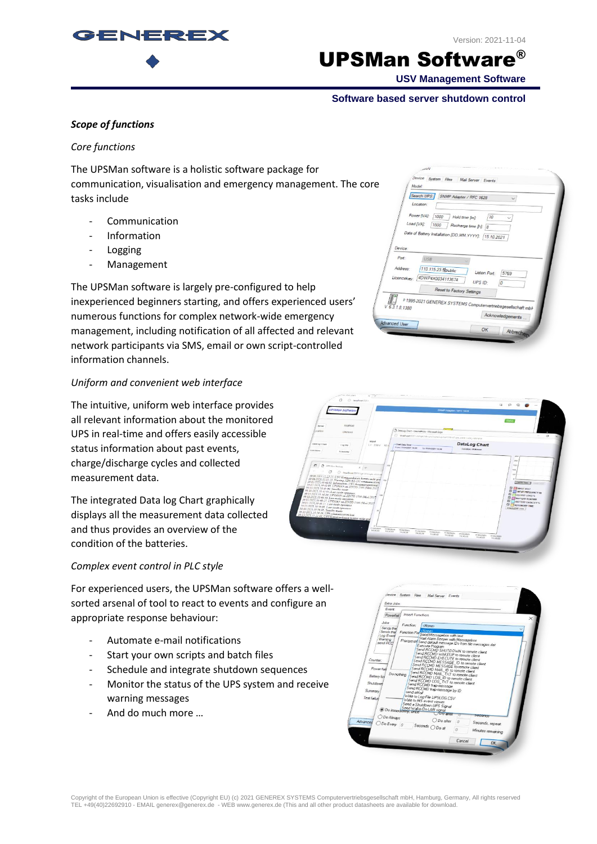

Version: 2021-11-04

## UPSMan Software®

**USV Management Software**

#### **Software based server shutdown control**

## *Scope of functions*

#### *Core functions*

The UPSMan software is a holistic software package for communication, visualisation and emergency management. The core tasks include

- **Communication**
- Information
- **Logging**
- **Management**

The UPSMan software is largely pre-configured to help inexperienced beginners starting, and offers experienced users' numerous functions for complex network-wide emergency management, including notification of all affected and relevant network participants via SMS, email or own script-controlled information channels.

## *Uniform and convenient web interface*

The intuitive, uniform web interface provides all relevant information about the monitored UPS in real-time and offers easily accessible status information about past events, charge/discharge cycles and collected measurement data.

The integrated Data log Chart graphically displays all the measurement data collected and thus provides an overview of the condition of the batteries.

## *Complex event control in PLC style*

For experienced users, the UPSMan software offers a wellsorted arsenal of tool to react to events and configure an appropriate response behaviour:

- Automate e-mail notifications
- Start your own scripts and batch files
- Schedule and integrate shutdown sequences
- Monitor the status of the UPS system and receive warning messages
- And do much more …

|                  | Search UPS:<br>SNMP Adapter / RFC 1628<br>Location:           |
|------------------|---------------------------------------------------------------|
|                  | Power [VA]:<br>1000<br>110<br>Hold time [m]:                  |
| Load [VA]:       | 1000<br>Recharge time [h]:  8                                 |
| Device:          | Date of Battery Installation [DD.MM.YYYY]: [15.10.2021        |
| Port:            | <b>USB</b>                                                    |
| Address:         | 110.115.23.5 public<br>Listen Port:<br>5769                   |
|                  | Licencekey: /4DWP4X0034113674<br>UPS ID:<br>0                 |
|                  |                                                               |
|                  | Reset to Factory Settings                                     |
| $V$ 6.3.1.8:1380 | p 1995-2021 GENEREX SYSTEMS Computervertriebsgesellschaft mbf |



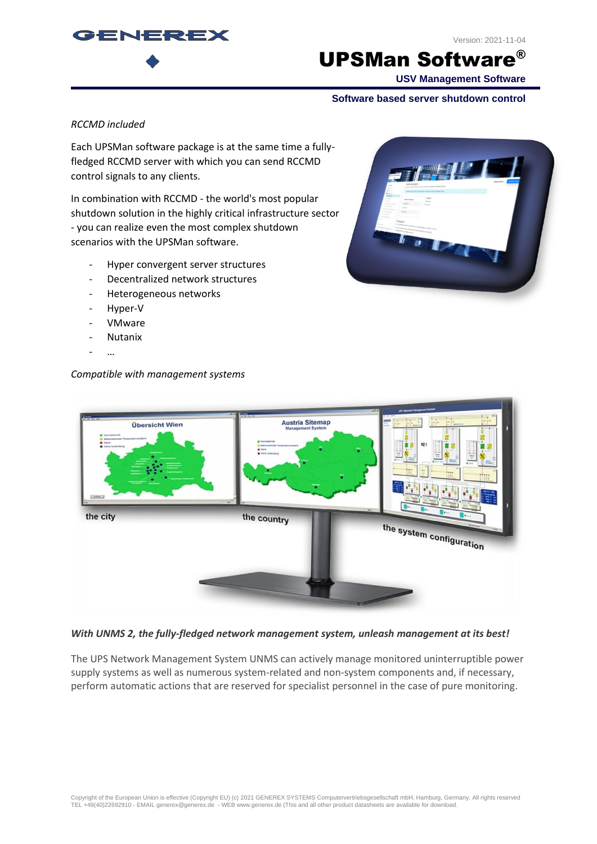

## UPSMan Software®

**USV Management Software**

#### **Software based server shutdown control**

#### *RCCMD included*

GENERE)

Each UPSMan software package is at the same time a fullyfledged RCCMD server with which you can send RCCMD control signals to any clients.

In combination with RCCMD - the world's most popular shutdown solution in the highly critical infrastructure sector - you can realize even the most complex shutdown scenarios with the UPSMan software.

- Hyper convergent server structures
- Decentralized network structures
- Heterogeneous networks
- Hyper-V
- VMware
- **Nutanix**
- …

#### *Compatible with management systems*



| Ë<br>Ψ<br><b>A 011</b><br>$\overline{a}$<br><b>COLU</b><br><b>Distances</b><br>1000<br>$1000 + 1000$<br> |
|----------------------------------------------------------------------------------------------------------|
| $\sim$<br>the country<br><b>Fax</b><br>the system configuration<br><b>CONTRACTOR</b>                     |
|                                                                                                          |

#### *With UNMS 2, the fully-fledged network management system, unleash management at its best!*

The UPS Network Management System UNMS can actively manage monitored uninterruptible power supply systems as well as numerous system-related and non-system components and, if necessary, perform automatic actions that are reserved for specialist personnel in the case of pure monitoring.